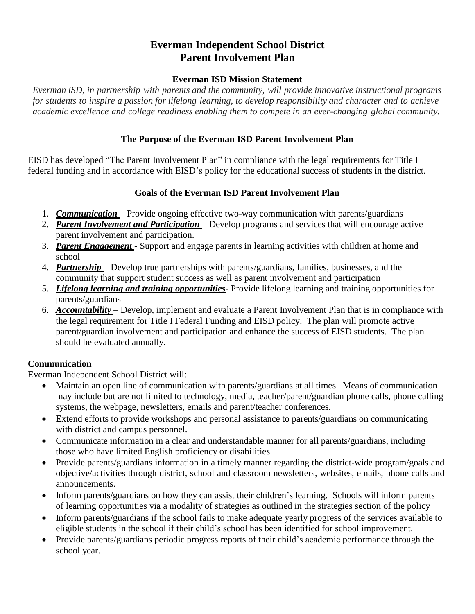### **Everman Independent School District Parent Involvement Plan**

#### **Everman ISD Mission Statement**

*Everman ISD, in partnership with parents and the community, will provide innovative instructional programs for students to inspire a passion for lifelong learning, to develop responsibility and character and to achieve academic excellence and college readiness enabling them to compete in an ever-changing global community.*

#### **The Purpose of the Everman ISD Parent Involvement Plan**

EISD has developed "The Parent Involvement Plan" in compliance with the legal requirements for Title I federal funding and in accordance with EISD's policy for the educational success of students in the district.

#### **Goals of the Everman ISD Parent Involvement Plan**

- 1. *Communication* Provide ongoing effective two-way communication with parents/guardians
- 2. *Parent Involvement and Participation* Develop programs and services that will encourage active parent involvement and participation.
- 3. *Parent Engagement* Support and engage parents in learning activities with children at home and school
- 4. *Partnership*  Develop true partnerships with parents/guardians, families, businesses, and the community that support student success as well as parent involvement and participation
- 5. *Lifelong learning and training opportunities* Provide lifelong learning and training opportunities for parents/guardians
- 6. *Accountability* Develop, implement and evaluate a Parent Involvement Plan that is in compliance with the legal requirement for Title I Federal Funding and EISD policy. The plan will promote active parent/guardian involvement and participation and enhance the success of EISD students. The plan should be evaluated annually.

### **Communication**

Everman Independent School District will:

- Maintain an open line of communication with parents/guardians at all times. Means of communication may include but are not limited to technology, media, teacher/parent/guardian phone calls, phone calling systems, the webpage, newsletters, emails and parent/teacher conferences.
- Extend efforts to provide workshops and personal assistance to parents/guardians on communicating with district and campus personnel.
- Communicate information in a clear and understandable manner for all parents/guardians, including those who have limited English proficiency or disabilities.
- Provide parents/guardians information in a timely manner regarding the district-wide program/goals and objective/activities through district, school and classroom newsletters, websites, emails, phone calls and announcements.
- Inform parents/guardians on how they can assist their children's learning. Schools will inform parents of learning opportunities via a modality of strategies as outlined in the strategies section of the policy
- Inform parents/guardians if the school fails to make adequate yearly progress of the services available to eligible students in the school if their child's school has been identified for school improvement.
- Provide parents/guardians periodic progress reports of their child's academic performance through the school year.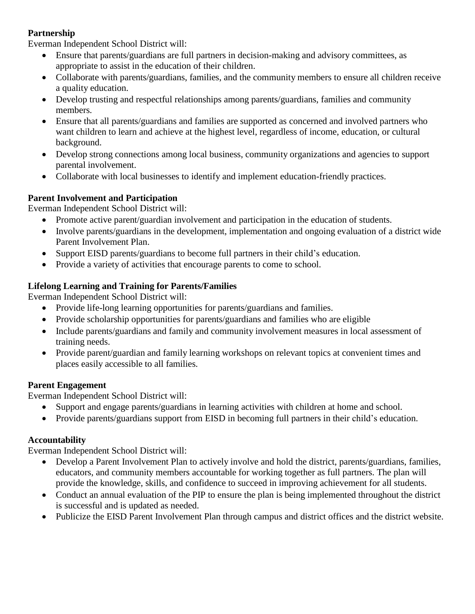#### **Partnership**

Everman Independent School District will:

- Ensure that parents/guardians are full partners in decision-making and advisory committees, as appropriate to assist in the education of their children.
- Collaborate with parents/guardians, families, and the community members to ensure all children receive a quality education.
- Develop trusting and respectful relationships among parents/guardians, families and community members.
- Ensure that all parents/guardians and families are supported as concerned and involved partners who want children to learn and achieve at the highest level, regardless of income, education, or cultural background.
- Develop strong connections among local business, community organizations and agencies to support parental involvement.
- Collaborate with local businesses to identify and implement education-friendly practices.

# **Parent Involvement and Participation**

Everman Independent School District will:

- Promote active parent/guardian involvement and participation in the education of students.
- Involve parents/guardians in the development, implementation and ongoing evaluation of a district wide Parent Involvement Plan.
- Support EISD parents/guardians to become full partners in their child's education.
- Provide a variety of activities that encourage parents to come to school.

# **Lifelong Learning and Training for Parents/Families**

Everman Independent School District will:

- Provide life-long learning opportunities for parents/guardians and families.
- Provide scholarship opportunities for parents/guardians and families who are eligible
- Include parents/guardians and family and community involvement measures in local assessment of training needs.
- Provide parent/guardian and family learning workshops on relevant topics at convenient times and places easily accessible to all families.

# **Parent Engagement**

Everman Independent School District will:

- Support and engage parents/guardians in learning activities with children at home and school.
- Provide parents/guardians support from EISD in becoming full partners in their child's education.

# **Accountability**

Everman Independent School District will:

- Develop a Parent Involvement Plan to actively involve and hold the district, parents/guardians, families, educators, and community members accountable for working together as full partners. The plan will provide the knowledge, skills, and confidence to succeed in improving achievement for all students.
- Conduct an annual evaluation of the PIP to ensure the plan is being implemented throughout the district is successful and is updated as needed.
- Publicize the EISD Parent Involvement Plan through campus and district offices and the district website.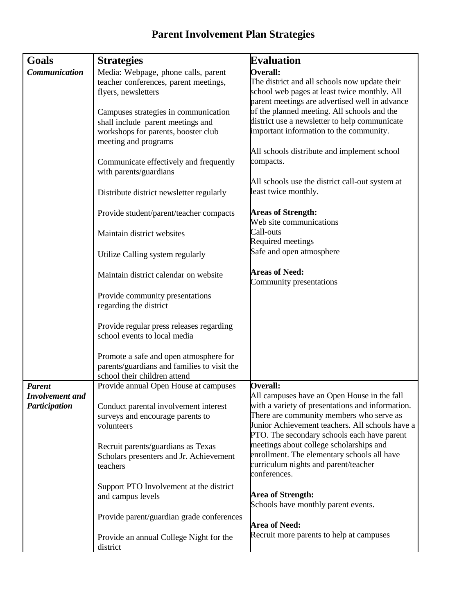# **Parent Involvement Plan Strategies**

| <b>Goals</b>           | <b>Strategies</b>                                   | <b>Evaluation</b>                                               |
|------------------------|-----------------------------------------------------|-----------------------------------------------------------------|
| <b>Communication</b>   | Media: Webpage, phone calls, parent                 | <b>Overall:</b>                                                 |
|                        | teacher conferences, parent meetings,               | The district and all schools now update their                   |
|                        | flyers, newsletters                                 | school web pages at least twice monthly. All                    |
|                        |                                                     | parent meetings are advertised well in advance                  |
|                        | Campuses strategies in communication                | of the planned meeting. All schools and the                     |
|                        | shall include parent meetings and                   | district use a newsletter to help communicate                   |
|                        | workshops for parents, booster club                 | important information to the community.                         |
|                        | meeting and programs                                |                                                                 |
|                        |                                                     | All schools distribute and implement school                     |
|                        | Communicate effectively and frequently              | compacts.                                                       |
|                        | with parents/guardians                              |                                                                 |
|                        |                                                     | All schools use the district call-out system at                 |
|                        | Distribute district newsletter regularly            | least twice monthly.                                            |
|                        | Provide student/parent/teacher compacts             | <b>Areas of Strength:</b>                                       |
|                        |                                                     | Web site communications                                         |
|                        | Maintain district websites                          | Call-outs                                                       |
|                        |                                                     | <b>Required meetings</b>                                        |
|                        | Utilize Calling system regularly                    | Safe and open atmosphere                                        |
|                        | Maintain district calendar on website               | <b>Areas of Need:</b>                                           |
|                        |                                                     | Community presentations                                         |
|                        | Provide community presentations                     |                                                                 |
|                        | regarding the district                              |                                                                 |
|                        |                                                     |                                                                 |
|                        | Provide regular press releases regarding            |                                                                 |
|                        | school events to local media                        |                                                                 |
|                        | Promote a safe and open atmosphere for              |                                                                 |
|                        | parents/guardians and families to visit the         |                                                                 |
|                        | school their children attend                        |                                                                 |
| <b>Parent</b>          | Provide annual Open House at campuses               | <b>Overall:</b>                                                 |
| <b>Involvement</b> and |                                                     | All campuses have an Open House in the fall                     |
| Participation          | Conduct parental involvement interest               | with a variety of presentations and information.                |
|                        | surveys and encourage parents to                    | There are community members who serve as                        |
|                        | volunteers                                          | Junior Achievement teachers. All schools have a                 |
|                        |                                                     | PTO. The secondary schools each have parent                     |
|                        | Recruit parents/guardians as Texas                  | meetings about college scholarships and                         |
|                        | Scholars presenters and Jr. Achievement             | enrollment. The elementary schools all have                     |
|                        | teachers                                            | curriculum nights and parent/teacher                            |
|                        |                                                     | conferences.                                                    |
|                        | Support PTO Involvement at the district             |                                                                 |
|                        | and campus levels                                   | <b>Area of Strength:</b><br>Schools have monthly parent events. |
|                        |                                                     |                                                                 |
|                        | Provide parent/guardian grade conferences           | <b>Area of Need:</b>                                            |
|                        |                                                     | Recruit more parents to help at campuses                        |
|                        | Provide an annual College Night for the<br>district |                                                                 |
|                        |                                                     |                                                                 |